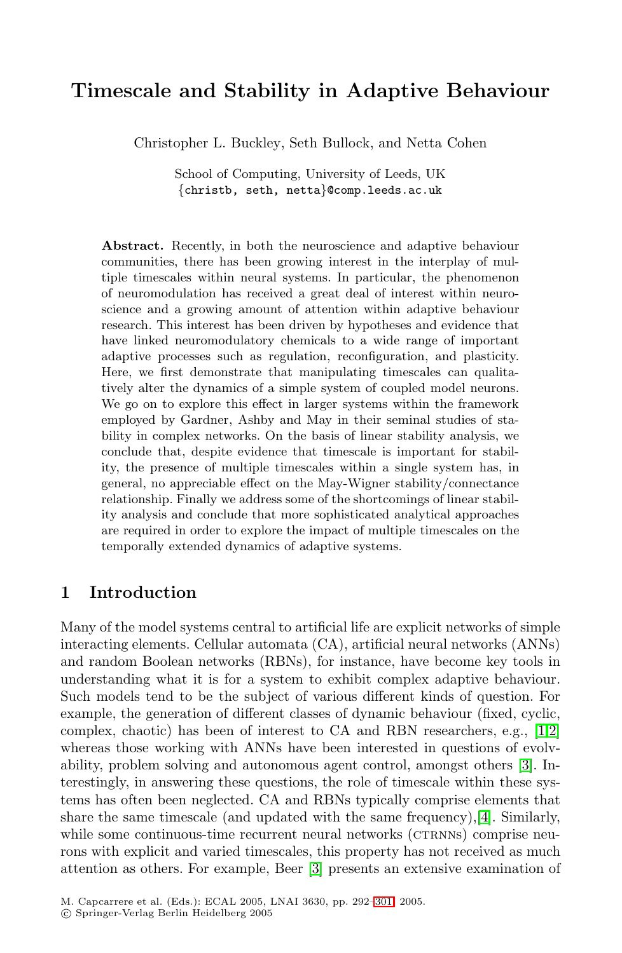# **Timescale and Stability in Adaptive Behaviour**

Christopher L. Buckley, Seth Bullock, and Netta Cohen

School of Computing, University of Leeds, UK {christb, seth, netta}@comp.leeds.ac.uk

**Abstract.** Recently, in both the neuroscience and adaptive behaviour communities, there has been growing interest in the interplay of multiple timescales within neural systems. In particular, the phenomenon of neuromodulation has received a great deal of interest within neuroscience and a growing amount of attention within adaptive behaviour research. This interest has been driven by hypotheses and evidence that have linked neuromodulatory chemicals to a wide range of important adaptive processes such as regulation, reconfiguration, and plasticity. Here, we first demonstrate that manipulating timescales can qualitatively alter the dynamics of a simple system of coupled model neurons. We go on to explore this effect in larger systems within the framework employed by Gardner, Ashby and May in their seminal studies of stability in complex networks. On the basis of linear stability analysis, we conclude that, despite evidence that timescale is important for stability, the presence of multiple timescales within a single system has, in general, no appreciable effect on the May-Wigner stability/connectance relationship. Finally we address some of the shortcomings of linear stability analysis and conclude that more sophisticated analytical approaches are required in order to explore the impact of multiple timescales on the temporally extended dynamics of adaptive systems.

### **1 Introduction**

Many of the model systems central to artificial life are explicit networks of simple interacting elements. Cellular automata (CA), artificia[l n](#page-8-0)eural networks (ANNs) and random Boolean networks (RBNs), for instance, have become key tools in understanding what it is for a system to exhibit complex adaptive behaviour. Such models tend to be the subject of various [d](#page-8-1)ifferent kinds of question. For example, the generation of different classes of dynamic behaviour (fixed, cyclic, complex, chaotic) has been of interest to CA and RBN researchers, e.g., [1,2] whereas those worki[ng](#page-8-0) with ANNs have been interested in questions of evolvability, problem solving and autonomous agent control, amongst others [3]. Interestingly, in answering these [que](#page-8-2)stions, the role of timescale within these systems has often been neglected. CA and RBNs typically comprise elements that share the same timescale (and updated with the same frequency),[4]. Similarly, while some continuous-time recurrent neural networks (CTRNNS) comprise neurons with explicit and varied timescales, this property has not received as much attention as others. For example, Beer [3] presents an extensive examination of

M. Capcarrere et al. (Eds.): ECAL 2005, LNAI 3630, pp. 292–301, 2005.

c Springer-Verlag Berlin Heidelberg 2005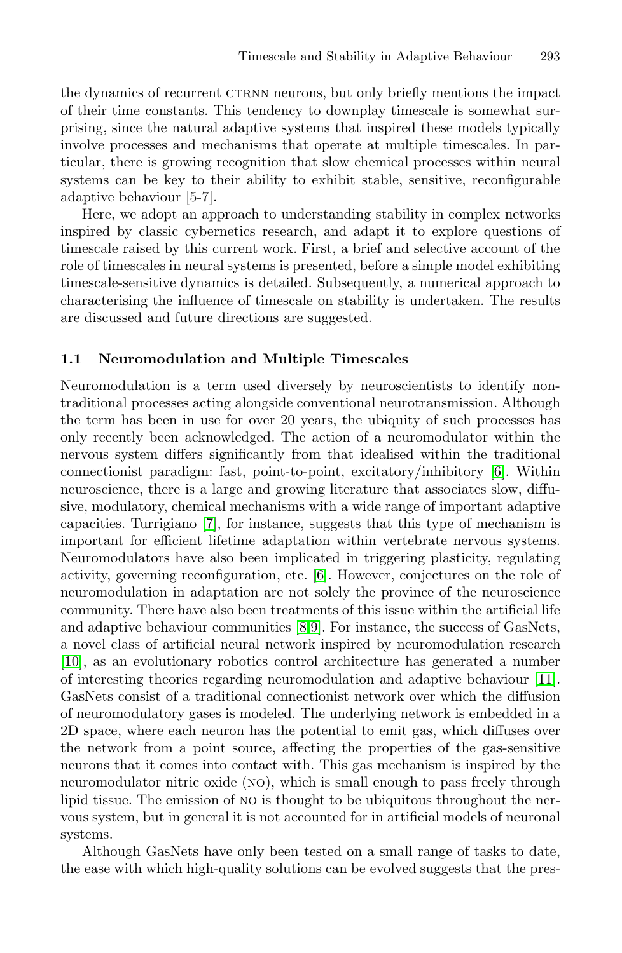the dynamics of recurrent CTRNN neurons, but only briefly mentions the impact of their time constants. This tendency to downplay timescale is somewhat surprising, since the natural adaptive systems that inspired these models typically involve processes and mechanisms that operate at multiple timescales. In particular, there is growing recognition that slow chemical processes within neural systems can be key to their ability to exhibit stable, sensitive, reconfigurable adaptive behaviour [5-7].

Here, we adopt an approach to understanding stability in complex networks inspired by classic cybernetics research, and adapt it to explore questions of timescale raised by this current work. First, a brief and selective account of the role of timescales in neural systems is presented, before a simple model exhibiting timescale-sensitive dynamics is detailed. Subsequently, a numerical approach to characterising the influence of timescale on stability is undertaken. The results are discussed and future directions are suggested.

### **1.1 Neuromodulation and Multiple Time[sca](#page-8-3)les**

Neuromodulation is a term used diversely by neuroscientists to identify nontra[dit](#page-8-4)ional processes acting alongside conventional neurotransmission. Although the term has been in use for over 20 years, the ubiquity of such processes has only recently been acknowledged. The action of a neuromodulator within the nervous system diffe[rs](#page-8-3) significantly from that idealised within the traditional connectionist paradigm: fast, point-to-point, excitatory/inhibitory [6]. Within neuroscience, there is a large and growing literature that associates slow, diffusive, modulatory, c[he](#page-8-5)[m](#page-8-6)ical mechanisms with a wide range of important adaptive capacities. Turrigiano [7], for instance, suggests that this type of mechanism is important for efficient lifetime adaptation within vertebrate nervous systems. Neuromodulators have also been implicated in triggeri[ng p](#page-9-0)lasticity, regulating activity, governing reconfiguration, etc. [6]. However, conjectures on the role of neuromodulation in adaptation are not solely the province of the neuroscience community. There have also been treatments of this issue within the artificial life and adaptive behaviour communities [8,9]. For instance, the success of GasNets, a novel class of artificial neural network inspired by neuromodulation research [10], as an evolutionary robotics control architecture has generated a number of interesting theories regarding neuromodulation and adaptive behaviour [11]. GasNets consist of a traditional connectionist network over which the diffusion of neuromodulatory gases is modeled. The underlying network is embedded in a 2D space, where each neuron has the potential to emit gas, which diffuses over the network from a point source, affecting the properties of the gas-sensitive neurons that it comes into contact with. This gas mechanism is inspired by the neuromodulator nitric oxide (no), which is small enough to pass freely through lipid tissue. The emission of no is thought to be ubiquitous throughout the nervous system, but in general it is not accounted for in artificial models of neuronal systems.

Although GasNets have only been tested on a small range of tasks to date, the ease with which high-quality solutions can be evolved suggests that the pres-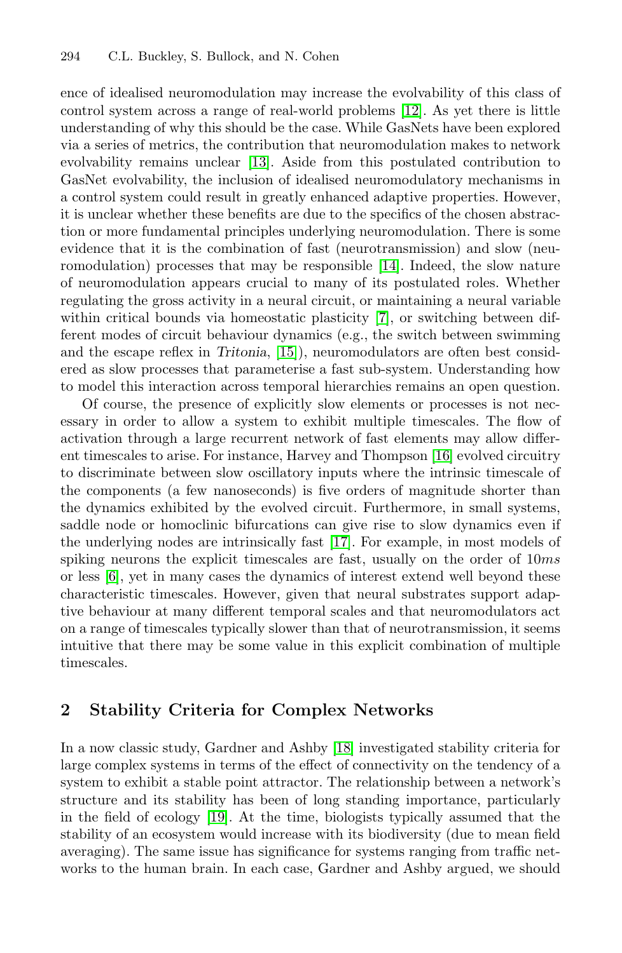#### 294 C.L. Buckley, S. Bullock, and N. Cohen

ence of idealised neuromodulation may increase the evolvability of this class of control system across a range of real-world problems [12]. As yet there is little understanding of why this should be the case. While GasNets have been explored via a series of metrics, the contr[ibu](#page-9-1)tion that neuromodulation makes to network evolvability remains unclear [13]. Aside from this postulated contribution to GasNet evolvability, the inclusion of idealised neuromodulatory mechanisms in a control system could result in [g](#page-8-4)reatly enhanced adaptive properties. However, it is unclear whether these benefits are due to the specifics of the chosen abstraction or more fu[nda](#page-9-2)mental principles underlying neuromodulation. There is some evidence that it is the combination of fast (neurotransmission) and slow (neuromodulation) processes that may be responsible [14]. Indeed, the slow nature of neuromodulation appears crucial to many of its postulated roles. Whether regulating the gross activity in a neural circuit, or maintaining a neural variable within critical bounds via homeostatic plasticity [7], or switching between different modes of circuit behaviour dyna[mics](#page-9-3) (e.g., the switch between swimming and the escape reflex in *Tritonia*, [15]), neuromodulators are often best considered as slow processes that parameterise a fast sub-system. Understanding how to model this interaction across temporal hierarchies remains an open question.

Of course, the presence of explicitly slow elements or processes is not necessary in order to allo[w a](#page-9-4) system to exhibit multiple timescales. The flow of activation through a large recurrent network of fast elements may allow different timescales to arise. For instance, Harvey and Thompson [16] evolved circuitry to discriminate between slow oscillatory inputs where the intrinsic timescale of the components (a few nanoseconds) is five orders of magnitude shorter than the dynamics exhibited by the evolved circuit. Furthermore, in small systems, saddle node or homoclinic bifurcations can give rise to slow dynamics even if the underlying nodes are intrinsically fast [17]. For example, in most models of spiking neurons the explicit timescales are fast, usually on the order of  $10ms$ or less [6], yet in many cases the dynamics of interest extend well beyond these characteristic timescales. However, given that neural substrates support adaptive behaviour at many different temporal scales and that neuromodulators act on a range of timescales [typi](#page-9-5)cally slower than that of neurotransmission, it seems intuitive that there may be some value in this explicit combination of multiple timescales.

# **2 Stability Criteria for Complex Networks**

In a now classic study, Gardner and Ashby [18] investigated stability criteria for large complex systems in terms of the effect of connectivity on the tendency of a system to exhibit a stable point attractor. The relationship between a network's structure and its stability has been of long standing importance, particularly in the field of ecology [19]. At the time, biologists typically assumed that the stability of an ecosystem would increase with its biodiversity (due to mean field averaging). The same issue has significance for systems ranging from traffic networks to the human brain. In each case, Gardner and Ashby argued, we should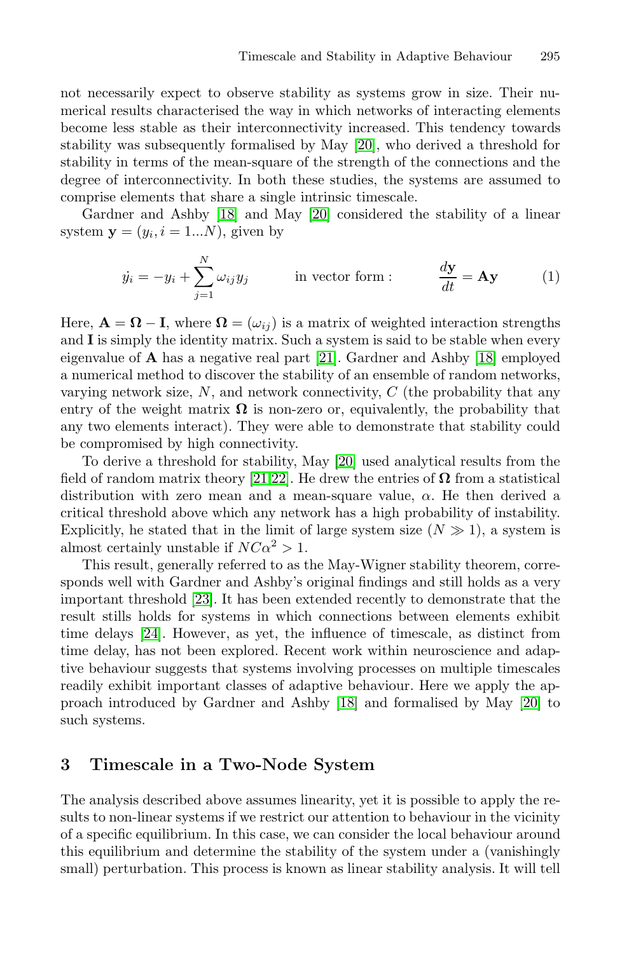<span id="page-3-0"></span>not n[eces](#page-9-5)sarily expe[ct t](#page-9-6)o observe stability as systems grow in size. Their numerical results characterised the way in which networks of interacting elements become less stable as their interconnectivity increased. This tendency towards stability was subsequently formalised by May [20], who derived a threshold for stability in terms of the mean-square of the strength of the connections and the degree of interconnectivity. In both these studies, the systems are assumed to comprise elements that share a single intrinsic timescale.

Gardner and Ashby [18] and May [20] considered the stability of a linear system  $\mathbf{y} = (y_i, i = 1...N)$  $\mathbf{y} = (y_i, i = 1...N)$  $\mathbf{y} = (y_i, i = 1...N)$ , given by

$$
\dot{y}_i = -y_i + \sum_{j=1}^N \omega_{ij} y_j \qquad \text{in vector form :} \qquad \frac{d\mathbf{y}}{dt} = \mathbf{A}\mathbf{y} \tag{1}
$$

Here,  $\mathbf{A} = \mathbf{\Omega} - \mathbf{I}$ , where  $\mathbf{\Omega} = (\omega_{ij})$  is a matrix of weighted interaction strengths and **I** is simply the identi[ty m](#page-9-6)atrix. Such a system is said to be stable when every eigenvalue [of](#page-9-7) **[A](#page-9-8)** has a negative real part [21]. Gardner and Ashby [18] employed a numerical method to discover the stability of an ensemble of random networks, varying network size,  $N$ , and network connectivity,  $C$  (the probability that any entry of the weight matrix  $\Omega$  is non-zero or, equivalently, the probability that any two elements interact). They were able to demonstrate that stability could be compromised by high connectivity.

To derive a threshold for stability, May [20] used analytical results from the fi[eld o](#page-9-9)f random matrix theory [21,22]. He drew the entries of  $\Omega$  from a statistical distribution with zero mean and a mean-square value,  $\alpha$ . He then derived a critical threshold above which any network has a high probability of instability. Explicitly, he stated that in the limit of large system size  $(N \gg 1)$ , a system is almost certainly unstable if  $NC\alpha^2 > 1$ .

This result, generally referred to as the May-Wigner stability theorem, corresponds well with Gardne[r an](#page-9-5)d Ashby's original finding[s an](#page-9-6)d still holds as a very important threshold [23]. It has been extended recently to demonstrate that the result stills holds for systems in which connections between elements exhibit time delays [24]. However, as yet, the influence of timescale, as distinct from time delay, has not been explored. Recent work within neuroscience and adaptive behaviour suggests that systems involving processes on multiple timescales readily exhibit important classes of adaptive behaviour. Here we apply the approach introduced by Gardner and Ashby [18] and formalised by May [20] to such systems.

### **3 Timescale in a Two-Node System**

The analysis described above assumes linearity, yet it is possible to apply the results to non-linear systems if we restrict our attention to behaviour in the vicinity of a specific equilibrium. In this case, we can consider the local behaviour around this equilibrium and determine the stability of the system under a (vanishingly small) perturbation. This process is known as linear stability analysis. It will tell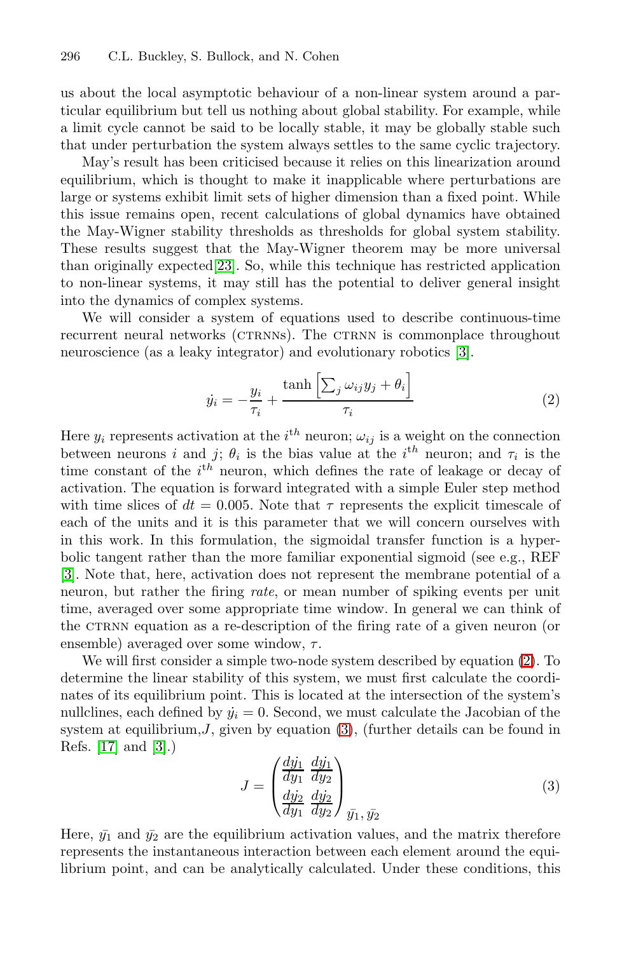#### 296 C.L. Buckley, S. Bullock, and N. Cohen

us about the local asymptotic behaviour of a non-linear system around a particular equilibrium but tell us nothing about global stability. For example, while a limit cycle cannot be said to be locally stable, it may be globally stable such that [und](#page-9-9)er perturbation the system always settles to the same cyclic trajectory.

May's result has been criticised because it relies on this linearization around equilibrium, which is thought to make it inapplicable where perturbations are large or systems exhibit limit sets of higher dimension than a fixed point. While this issue remains open, recent calculations of global dynamics have obtained the May-Wigner stability thresholds as th[res](#page-8-0)holds for global system stability. These results suggest that the May-Wigner theorem may be more universal than originally expected[23]. So, while this technique has restricted application to non-linear systems, it may still has the potential to deliver general insight into the dynamics of complex systems.

We will consider a system of equations used to describe continuous-time recurrent neural networks (CTRNNS). The CTRNN is commonplace throughout neuroscience (as a leaky integrator) and evolutionary robotics [3].

<span id="page-4-0"></span>
$$
\dot{y}_i = -\frac{y_i}{\tau_i} + \frac{\tanh\left[\sum_j \omega_{ij} y_j + \theta_i\right]}{\tau_i} \tag{2}
$$

Here  $y_i$  represents activation at the  $i^{th}$  neuron;  $\omega_{ij}$  is a weight on the connection between neurons *i* and *j*;  $\theta_i$  is the bias value at the *i*<sup>th</sup> neuron; and  $\tau_i$  is the time constant of the  $i^{th}$  neuron, which defines the rate of leakage or decay of activation. The equation is forward integrated with a simple Euler step method with time slices of  $dt = 0.005$ . Note that  $\tau$  represents the explicit timescale of each of the units and it is this parameter that we will concern ourselves with in this work. In this formulation, the sigmoidal tra[nsf](#page-4-0)er function is a hyperbolic tangent rather than the more familiar exponential sigmoid (see e.g., REF [3]. Note that, here, activation does not represent the membrane potential of a neuron, but rather the firing rate, or mean number of spiking events per unit time, averaged over some [a](#page-4-1)ppropriate time window. In general we can think of the CTRNN equation as a re-description of the firing rate of a given neuron (or ensemble) averaged over some window,  $\tau$ .

<span id="page-4-1"></span>We will first consider a simple two-node system described by equation (2). To determine the linear stability of this system, we must first calculate the coordinates of its equilibrium point. This is located at the intersection of the system's nullclines, each defined by  $\dot{y}_i = 0$ . Second, we must calculate the Jacobian of the system at equilibrium,  $J$ , given by equation  $(3)$ , (further details can be found in Refs. [17] and [3].)

$$
J = \begin{pmatrix} \frac{dy_1}{dy_1} & \frac{dy_1}{dy_2} \\ \frac{dy_2}{dy_1} & \frac{dy_2}{dy_2} \end{pmatrix}_{\bar{y_1}, \bar{y_2}}
$$
 (3)

Here,  $\bar{y}_1$  and  $\bar{y}_2$  are the equilibrium activation values, and the matrix therefore represents the instantaneous interaction between each element around the equilibrium point, and can be analytically calculated. Under these conditions, this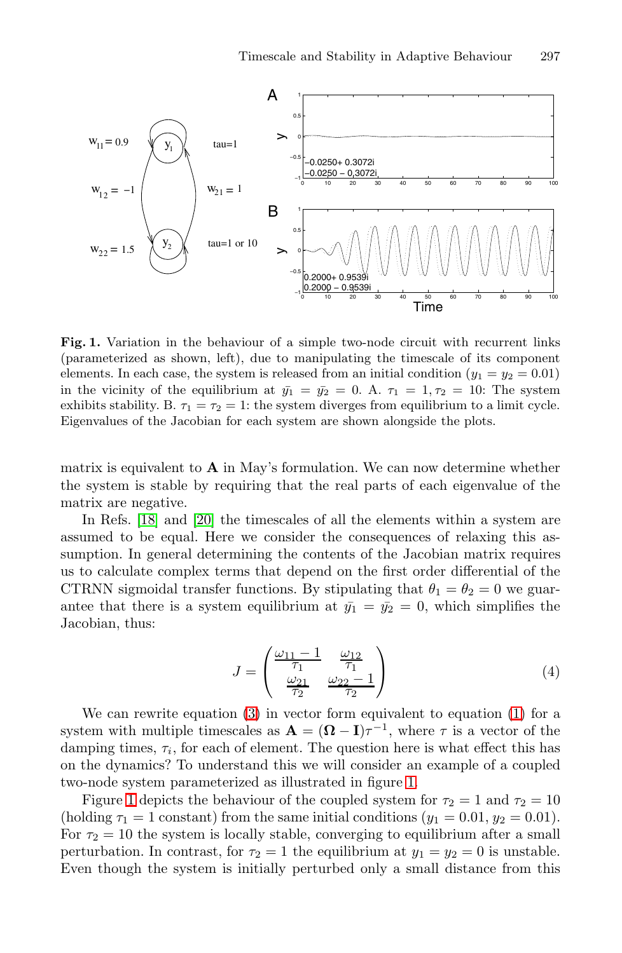

<span id="page-5-0"></span>Fig. 1. Variation in the behaviour of a simple two-node circuit with recurrent links (parameterized as shown, left), due to manipulating the timescale of its component elements. In each case, the system is released from an initial condition  $(y_1 = y_2 = 0.01)$ in [the](#page-9-6) vicinity of the equilibrium at  $\bar{y}_1 = \bar{y}_2 = 0$ . A.  $\tau_1 = 1, \tau_2 = 10$ : The system exhibits stability. B.  $\tau_1 = \tau_2 = 1$ : the system diverges from equilibrium to a limit cycle. Eigenvalues of the Jacobian for each system are shown alongside the plots.

matrix is equivalent to **A** in May's formulation. We can now determine whether the system is stable by requiring that the real parts of each eigenvalue of the matrix are negative.

In Refs. [18] and [20] the timescales of all the elements within a system are assumed to be equal. Here we consider the consequences of relaxing this assumption. In general determining the contents of the Jacobian matrix requires us to calculate complex terms that depend on the first order differential of the CTRNN s[igm](#page-4-1)oidal [t](#page-3-0)ransfer functions. By stipulating that  $\theta_1 = \theta_2 = 0$  we guarantee that there is a system equilibrium at  $\bar{y}_1 = \bar{y}_2 = 0$ , which simplifies the Jacobian, thus:

$$
J = \begin{pmatrix} \frac{\omega_{11} - 1}{\tau_1} & \frac{\omega_{12}}{\tau_1} \\ \frac{\omega_{21}}{\tau_2} & \frac{\omega_{22} - 1}{\tau_2} \end{pmatrix}
$$
 (4)

We can rewrite equation (3) in vector form equivalent to equation (1) for a system with multiple timescales as  $\mathbf{A} = (\mathbf{\Omega} - \mathbf{I})\tau^{-1}$ , where  $\tau$  is a vector of the damping times,  $\tau_i$ , for each of element. The question here is what effect this has on the dynamics? To understand this we will consider an example of a coupled two-node system parameterized as illustrated in figure 1.

Figure 1 depicts the behaviour of the coupled system for  $\tau_2 = 1$  and  $\tau_2 = 10$ (holding  $\tau_1 = 1$  constant) from the same initial conditions  $(y_1 = 0.01, y_2 = 0.01)$ . For  $\tau_2 = 10$  the system is locally stable, converging to equilibrium after a small perturbation. In contrast, for  $\tau_2 = 1$  the equilibrium at  $y_1 = y_2 = 0$  is unstable. Even though the system is initially perturbed only a small distance from this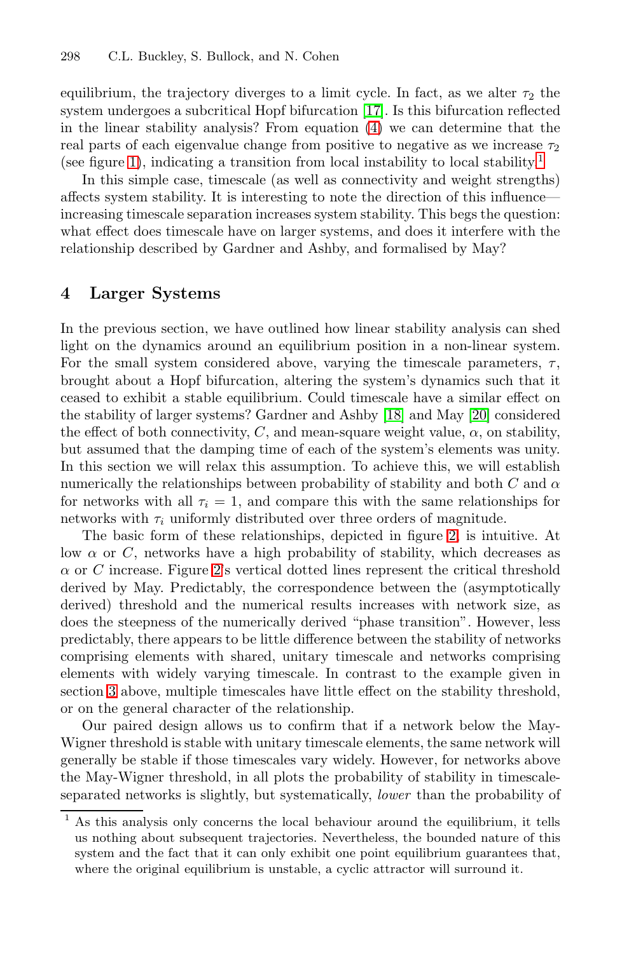#### 298 C.L. Buckley, S. Bullock, and N. Cohen

equilibrium, the trajectory diverges to a limit cycle. In fact, as we alter  $\tau_2$  the system undergoes a subcritical Hopf bifurcation [17]. Is this bifurcation reflected in the linear stability analysis? From equation (4) we can determine that the real parts of each eigenvalue change from positive to negative as we increase  $\tau_2$ (see figure 1), indicating a transition from local instability to local stability.<sup>1</sup>

In this simple case, timescale (as well as connectivity and weight strengths) affects system stability. It is interesting to note the direction of this influence increasing timescale separation increases system stability. This begs the question: what effect does timescale have on larger systems, and does it interfere with the relationship described by Gardner and Ashby, and formalised by May?

## **4 Larger Systems**

In the previous section, we have outlined how linear stability analysis can shed light on the dynamics around an equilibrium position in a non-linear system. For the small system considered above, varying the timescale parameters,  $\tau$ , brought about a Hopf bifurcation, altering the system's dynamics such that it ceased to exhibit a stable equilibrium. Could timescale have a similar effect on the stability of larger systems? Gardner an[d](#page-7-0) Ashby [18] and May [20] considered the effect of both connectivity, C, and mean-square weight value,  $\alpha$ , on stability, but [ass](#page-7-0)umed that the damping time of each of the system's elements was unity. In this section we will relax this assumption. To achieve this, we will establish numerically the relationships between probability of stability and both  $C$  and  $\alpha$ for networks with all  $\tau_i = 1$ , and compare this with the same relationships for networks with  $\tau_i$  uniformly distributed over three orders of magnitude.

The basic form of these relationships, depicted in figure 2, is intuitive. At low  $\alpha$  or C, networks have a high probability of stability, which decreases as  $\alpha$  or C increase. Figure 2's vertical dotted lines represent the critical threshold derived by May. Predictably, the correspondence between the (asymptotically derived) threshold and the numerical results increases with network size, as does the steepness of the numerically derived "phase transition". However, less predictably, there appears to be little difference between the stability of networks comprising elements with shared, unitary timescale and networks comprising elements with widely varying timescale. In contrast to the example given in section 3 above, multiple timescales have little effect on the stability threshold, or on the general character of the relationship.

Our paired design allows us to confirm that if a network below the May-Wigner threshold is stable with unitary timescale elements, the same network will generally be stable if those timescales vary widely. However, for networks above the May-Wigner threshold, in all plots the probability of stability in timescaleseparated networks is slightly, but systematically, lower than the probability of

<sup>1</sup> As this analysis only concerns the local behaviour around the equilibrium, it tells us nothing about subsequent trajectories. Nevertheless, the bounded nature of this system and the fact that it can only exhibit one point equilibrium guarantees that, where the original equilibrium is unstable, a cyclic attractor will surround it.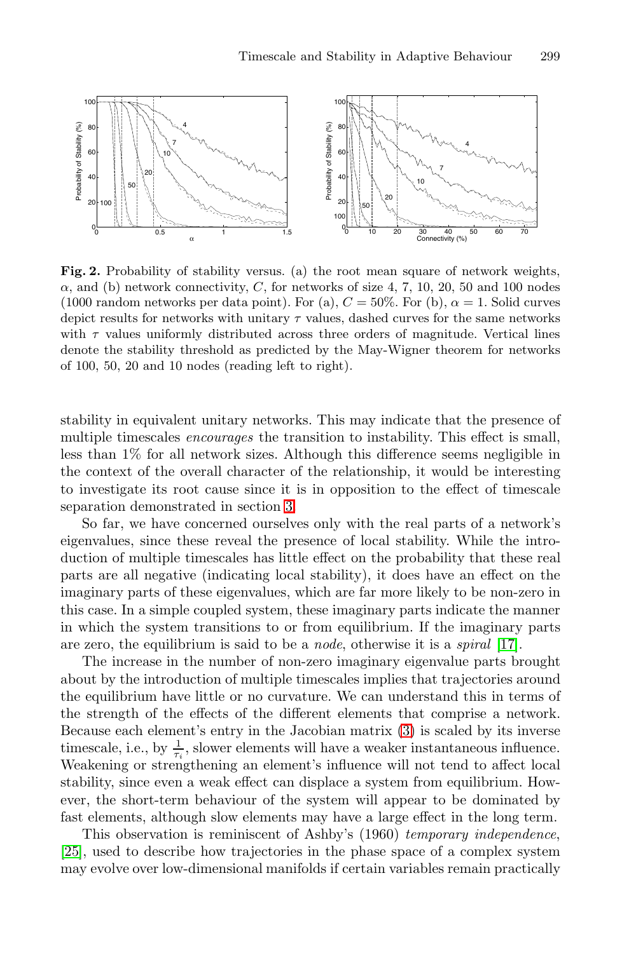<span id="page-7-0"></span>

**Fig. 2.** Probability of stability versus. (a) the root mean square of network weights,  $\alpha$ , and (b) network connectivity, C, for networks of size 4, 7, 10, 20, 50 and 100 nodes (1000 random networks per data point). For (a),  $C = 50\%$ . For (b),  $\alpha = 1$ . Solid curves depict results for networks with unitary  $\tau$  values, dashed curves for the same networks with  $\tau$  values uniformly distributed across three orders of magnitude. Vertical lines denote the stability threshold as predicted by the May-Wigner theorem for networks of 100, 50, 20 and 10 nodes (reading left to right).

stability in equivalent unitary networks. This may indicate that the presence of multiple timescales encourages the transition to instability. This effect is small, less than 1% for all network sizes. Although this difference seems negligible in the context of the overall character of the relationship, it would be interesting to investigate its root cause since it is in opposition to the effect of timescale separation demonstrated in section 3.

So far, we have concerned ourselves only with [the](#page-9-4) real parts of a network's eigenvalues, since these reveal the presence of local stability. While the introduction of multiple timescales has little effect on the probability that these real parts are all negative (indicating local stability), it does have an effect on the imaginary parts of these eigenvalues, which are far more likely to be non-zero in this case. In a simple coupled syste[m,](#page-4-1) these imaginary parts indicate the manner in which the system transitions to or from equilibrium. If the imaginary parts are zero, the equilibrium is said to be a node, otherwise it is a spiral [17].

The increase in the number of non-zero imaginary eigenvalue parts brought about by the introduction of multiple timescales implies that trajectories around the equilibrium have little or no curvature. We can understand this in terms of the strength of the effects of the different elements that comprise a network. Because each element's entry in the Jacobian matrix (3) is scaled by its inverse timescale, i.e., by  $\frac{1}{\tau_i}$ , slower elements will have a weaker instantaneous influence. Weakening or strengthening an element's influence will not tend to affect local stability, since even a weak effect can displace a system from equilibrium. However, the short-term behaviour of the system will appear to be dominated by fast elements, although slow elements may have a large effect in the long term.

This observation is reminiscent of Ashby's (1960) temporary independence, [25], used to describe how trajectories in the phase space of a complex system may evolve over low-dimensional manifolds if certain variables remain practically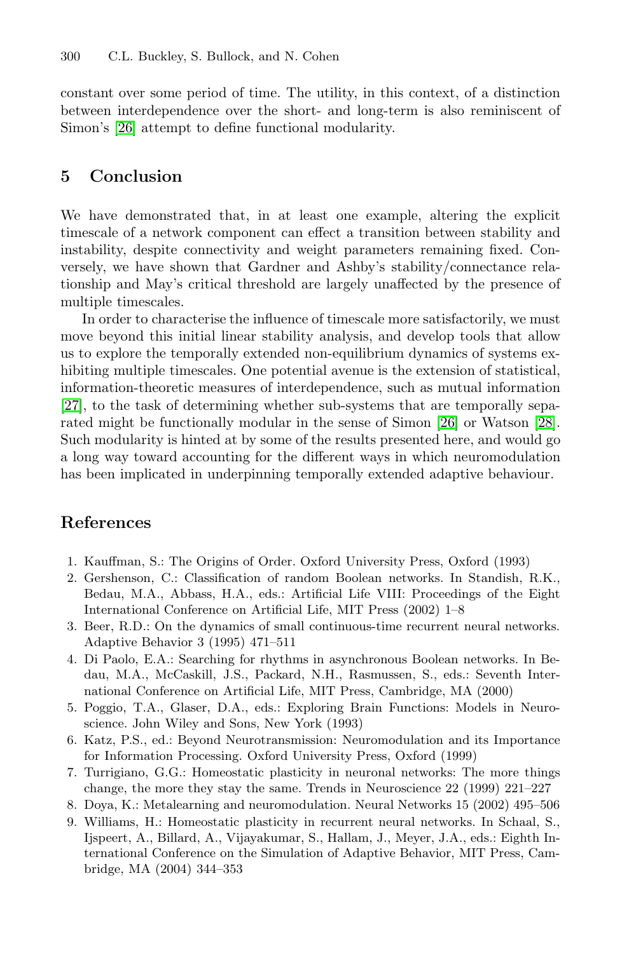constant over some period of time. The utility, in this context, of a distinction between interdependence over the short- and long-term is also reminiscent of Simon's [26] attempt to define functional modularity.

### **5 Conclusion**

We have demonstrated that, in at least one example, altering the explicit timescale of a network component can effect a transition between stability and instability, despite connectivity and weight parameters remaining fixed. Conversely, we have shown that Gardner and Ashby's stability/connectance relationship and May's critical threshold are largely unaffected by the presence of multiple timescales.

<span id="page-8-2"></span>In order to characterise the influence of timescale more satisfactorily, we must move beyond this initial linear stability analysis, and develop tools that allow us to explore the temporally extended non-equilibrium dynamics of systems exhibiting multiple timescales. One potential avenue is the extension of statistical, information-theoretic measures of interdependence, such as mutual information [27], to the task of determining whether sub-systems that are temporally separated might be functionally modular in the sense of Simon [26] or Watson [28]. Such modularity is hinted at by some of the results presented here, and would go a long way toward accounting for the different ways in which neuromodulation has been implicated in underpinning temporally extended adaptive behaviour.

### <span id="page-8-1"></span><span id="page-8-0"></span>**References**

- 1. Kauffman, S.: The Origins of Order. Oxford University Press, Oxford (1993)
- 2. Gershenson, C.: Classification of random Boolean networks. In Standish, R.K., Bedau, M.A., Abbass, H.A., eds.: Artificial Life VIII: Proceedings of the Eight International Conference on Artificial Life, MIT Press (2002) 1–8
- <span id="page-8-4"></span><span id="page-8-3"></span>3. Beer, R.D.: On the dynamics of small continuous-time recurrent neural networks. Adaptive Behavior 3 (1995) 471–511
- <span id="page-8-5"></span>4. Di Paolo, E.A.: Searching for rhythms in asynchronous Boolean networks. In Bedau, M.A., McCaskill, J.S., Packard, N.H., Rasmussen, S., eds.: Seventh International Conference on Artificial Life, MIT Press, Cambridge, MA (2000)
- <span id="page-8-6"></span>5. Poggio, T.A., Glaser, D.A., eds.: Exploring Brain Functions: Models in Neuroscience. John Wiley and Sons, New York (1993)
- 6. Katz, P.S., ed.: Beyond Neurotransmission: Neuromodulation and its Importance for Information Processing. Oxford University Press, Oxford (1999)
- 7. Turrigiano, G.G.: Homeostatic plasticity in neuronal networks: The more things change, the more they stay the same. Trends in Neuroscience 22 (1999) 221–227
- 8. Doya, K.: Metalearning and neuromodulation. Neural Networks 15 (2002) 495–506
- 9. Williams, H.: Homeostatic plasticity in recurrent neural networks. In Schaal, S., Ijspeert, A., Billard, A., Vijayakumar, S., Hallam, J., Meyer, J.A., eds.: Eighth International Conference on the Simulation of Adaptive Behavior, MIT Press, Cambridge, MA (2004) 344–353